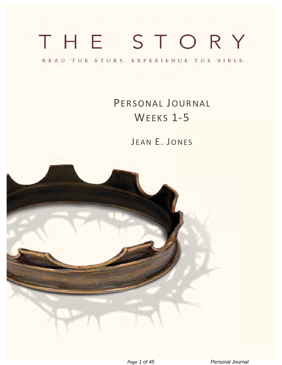# THE STORY

READ THE STORY. EXPERIENCE THE BIBLE.

PERSONAL JOURNAL WEEKS 1-5

JEAN E. JONES

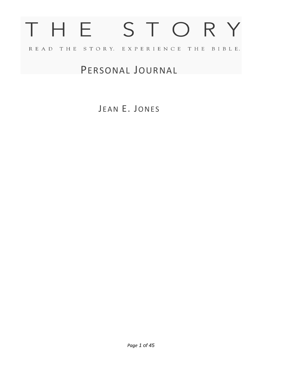# THE STORY READ THE STORY. EXPERIENCE THE BIBLE.

# PERSONAL JOURNAL

JEAN E. JONES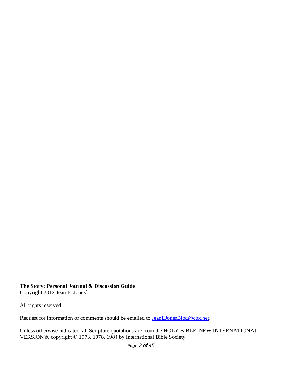#### **The Story: Personal Journal & Discussion Guide**

Copyright 2012 Jean E. Jones`

All rights reserved.

Request for information or comments should be emailed to **JeanEJonesBlog@cox.net**.

Unless otherwise indicated, all Scripture quotations are from the HOLY BIBLE, NEW INTERNATIONAL VERSION®, copyright © 1973, 1978, 1984 by International Bible Society.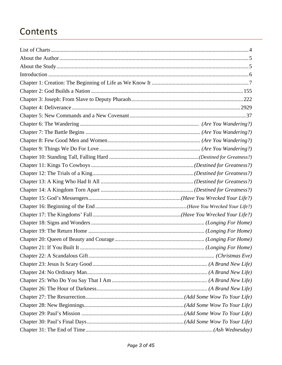# Contents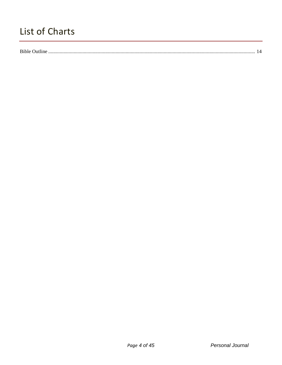# <span id="page-4-0"></span>List of Charts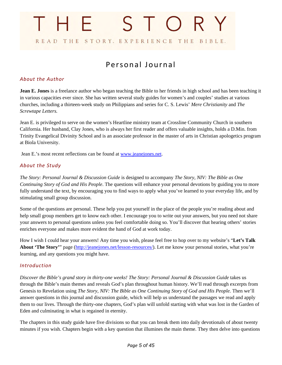# STORY THE READ THE STORY. EXPERIENCE THE BIBLE.

# Personal Journal

#### <span id="page-5-0"></span>*About the Author*

**Jean E. Jones** is a freelance author who began teaching the Bible to her friends in high school and has been teaching it in various capacities ever since. She has written several study guides for women's and couples' studies at various churches, including a thirteen-week study on Philippians and series for C. S. Lewis' *Mere Christianity* and *The Screwtape Letters.*

Jean E. is privileged to serve on the women's Heartline ministry team at Crossline Community Church in southern California. Her husband, Clay Jones, who is always her first reader and offers valuable insights, holds a D.Min. from Trinity Evangelical Divinity School and is an associate professor in the master of arts in Christian apologetics program at Biola University.

Jean E.'s most recent reflections can be found at [www.jeanejones.net.](http://www.jeanejones.net/)

#### <span id="page-5-1"></span>*About the Study*

*The Story: Personal Journal & Discussion Guide* is designed to accompany *The Story, NIV: The Bible as One Continuing Story of God and His People*. The questions will enhance your personal devotions by guiding you to more fully understand the text, by encouraging you to find ways to apply what you've learned to your everyday life, and by stimulating small group discussion.

Some of the questions are personal. These help you put yourself in the place of the people you're reading about and help small group members get to know each other. I encourage you to write out your answers, but you need not share your answers to personal questions unless you feel comfortable doing so. You'll discover that hearing others' stories enriches everyone and makes more evident the hand of God at work today.

How I wish I could hear your answers! Any time you wish, please feel free to hop over to my website's "**Let's Talk About 'The Story'**" page [\(http://jeanejones.net/lesson-resources/\)](http://jeanejones.net/lesson-resources/). Let me know your personal stories, what you're learning, and any questions you might have.

#### <span id="page-5-2"></span>*Introduction*

*Discover the Bible's grand story in thirty-one weeks! The Story: Personal Journal & Discussion Guide* takes us through the Bible's main themes and reveals God's plan throughout human history. We'll read through excerpts from Genesis to Revelation using *The Story, NIV: The Bible as One Continuing Story of God and His People.* Then we'll answer questions in this journal and discussion guide, which will help us understand the passages we read and apply them to our lives. Through the thirty-one chapters, God's plan will unfold starting with what was lost in the Garden of Eden and culminating in what is regained in eternity.

The chapters in this study guide have five divisions so that you can break them into daily devotionals of about twenty minutes if you wish. Chapters begin with a key question that illumines the main theme. They then delve into questions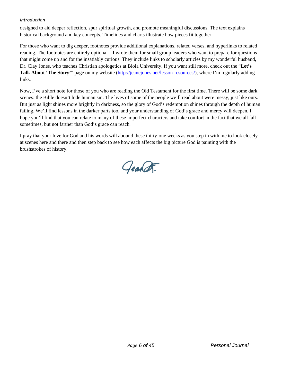#### *Introduction*

designed to aid deeper reflection, spur spiritual growth, and promote meaningful discussions. The text explains historical background and key concepts. Timelines and charts illustrate how pieces fit together.

For those who want to dig deeper, footnotes provide additional explanations, related verses, and hyperlinks to related reading. The footnotes are entirely optional—I wrote them for small group leaders who want to prepare for questions that might come up and for the insatiably curious. They include links to scholarly articles by my wonderful husband, Dr. Clay Jones, who teaches Christian apologetics at Biola University. If you want still more, check out the "**Let's Talk About 'The Story'**" page on my website [\(http://jeanejones.net/lesson-resources/\)](http://jeanejones.net/lesson-resources/), where I'm regularly adding links.

Now, I've a short note for those of you who are reading the Old Testament for the first time. There will be some dark scenes: the Bible doesn't hide human sin. The lives of some of the people we'll read about were messy, just like ours. But just as light shines more brightly in darkness, so the glory of God's redemption shines through the depth of human failing. We'll find lessons in the darker parts too, and your understanding of God's grace and mercy will deepen. I hope you'll find that you can relate to many of these imperfect characters and take comfort in the fact that we all fall sometimes, but not farther than God's grace can reach.

I pray that your love for God and his words will abound these thirty-one weeks as you step in with me to look closely at scenes here and there and then step back to see how each affects the big picture God is painting with the brushstrokes of history.

Geart.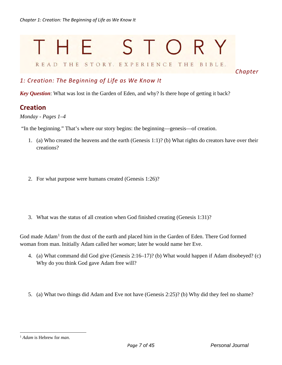# <span id="page-7-0"></span>STORY Н. READ THE STORY. EXPERIENCE THE BIBLE.

*Chapter* 

# *1: Creation: The Beginning of Life as We Know It*

*Key Question*: What was lost in the Garden of Eden, and why? Is there hope of getting it back?

### **Creation**

*Monday - Pages 1–4* 

"In the beginning." That's where our story begins: the beginning—genesis—of creation.

- 1. (a) Who created the heavens and the earth (Genesis 1:1)? (b) What rights do creators have over their creations?
- 2. For what purpose were humans created (Genesis 1:26)?
- 3. What was the status of all creation when God finished creating (Genesis 1:31)?

God made Adam<sup>[1](#page-7-1)</sup> from the dust of the earth and placed him in the Garden of Eden. There God formed woman from man. Initially Adam called her *woman*; later he would name her Eve.

- 4. (a) What command did God give (Genesis 2:16–17)? (b) What would happen if Adam disobeyed? (c) Why do you think God gave Adam free will?
- 5. (a) What two things did Adam and Eve not have (Genesis 2:25)? (b) Why did they feel no shame?

<span id="page-7-1"></span><sup>1</sup> *Adam* is Hebrew for *man*.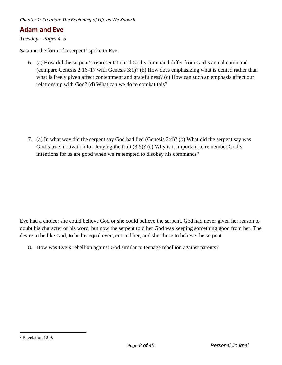# **Adam and Eve**

*Tuesday - Pages 4–5* 

Satan in the form of a serpent<sup>[2](#page-8-0)</sup> spoke to Eve.

6. (a) How did the serpent's representation of God's command differ from God's actual command (compare Genesis 2:16–17 with Genesis 3:1)? (b) How does emphasizing what is denied rather than what is freely given affect contentment and gratefulness? (c) How can such an emphasis affect our relationship with God? (d) What can we do to combat this?

7. (a) In what way did the serpent say God had lied (Genesis 3:4)? (b) What did the serpent say was God's true motivation for denying the fruit  $(3.5)$ ? (c) Why is it important to remember God's intentions for us are good when we're tempted to disobey his commands?

Eve had a choice: she could believe God or she could believe the serpent. God had never given her reason to doubt his character or his word, but now the serpent told her God was keeping something good from her. The desire to be like God, to be his equal even, enticed her, and she chose to believe the serpent.

8. How was Eve's rebellion against God similar to teenage rebellion against parents?

<span id="page-8-0"></span><sup>2</sup> Revelation 12:9.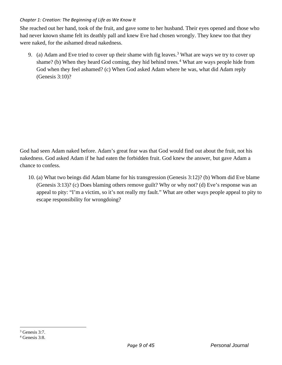She reached out her hand, took of the fruit, and gave some to her husband. Their eyes opened and those who had never known shame felt its deathly pall and knew Eve had chosen wrongly. They knew too that they were naked, for the ashamed dread nakedness.

9. (a) Adam and Eve tried to cover up their shame with fig leaves.<sup>[3](#page-9-0)</sup> What are ways we try to cover up shame? (b) When they heard God coming, they hid behind trees.<sup>[4](#page-9-1)</sup> What are ways people hide from God when they feel ashamed? (c) When God asked Adam where he was, what did Adam reply (Genesis 3:10)?

God had seen Adam naked before. Adam's great fear was that God would find out about the fruit, not his nakedness. God asked Adam if he had eaten the forbidden fruit. God knew the answer, but gave Adam a chance to confess.

10. (a) What two beings did Adam blame for his transgression (Genesis 3:12)? (b) Whom did Eve blame (Genesis 3:13)? (c) Does blaming others remove guilt? Why or why not? (d) Eve's response was an appeal to pity: "I'm a victim, so it's not really my fault." What are other ways people appeal to pity to escape responsibility for wrongdoing?

<span id="page-9-0"></span> $3$  Genesis 3:7.

<span id="page-9-1"></span> $4$  Genesis 3:8.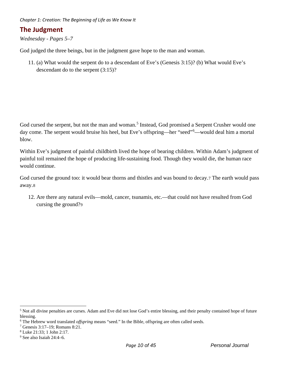# **The Judgment**

*Wednesday - Pages 5–7* 

God judged the three beings, but in the judgment gave hope to the man and woman.

11. (a) What would the serpent do to a descendant of Eve's (Genesis 3:15)? (b) What would Eve's descendant do to the serpent (3:15)?

God cursed the serpent, but not the man and woman.<sup>[5](#page-10-0)</sup> Instead, God promised a Serpent Crusher would one day come. The serpent would bruise his heel, but Eve's offspring—her "seed"<sup>[6](#page-10-1)</sup>—would deal him a mortal blow.

Within Eve's judgment of painful childbirth lived the hope of bearing children. Within Adam's judgment of painful toil remained the hope of producing life-sustaining food. Though they would die, the human race would continue.

God cursed the ground too: it would bear thorns and thistles and was bound to decay.[7](#page-10-2) The earth would pass away.[8](#page-10-3)

12. Are there any natural evils—mold, cancer, tsunamis, etc.—that could not have resulted from God cursing the ground?[9](#page-10-4)

<span id="page-10-0"></span><sup>&</sup>lt;sup>5</sup> Not all divine penalties are curses. Adam and Eve did not lose God's entire blessing, and their penalty contained hope of future blessing.

<span id="page-10-1"></span><sup>6</sup> The Hebrew word translated *offspring* means "seed." In the Bible, offspring are often called seeds.

<span id="page-10-2"></span><sup>7</sup> Genesis 3:17–19; Romans 8:21.

<span id="page-10-3"></span><sup>8</sup> Luke 21:33; 1 John 2:17.

<span id="page-10-4"></span><sup>9</sup> See also Isaiah 24:4–6.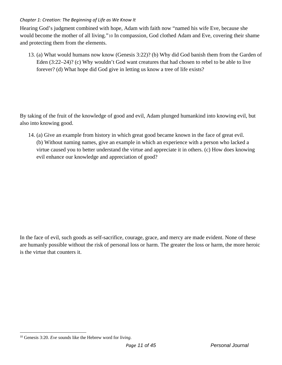Hearing God's judgment combined with hope, Adam with faith now "named his wife Eve, because she would become the mother of all living."[10](#page-11-0) In compassion, God clothed Adam and Eve, covering their shame and protecting them from the elements.

13. (a) What would humans now know (Genesis 3:22)? (b) Why did God banish them from the Garden of Eden (3:22–24)? (c) Why wouldn't God want creatures that had chosen to rebel to be able to live forever? (d) What hope did God give in letting us know a tree of life exists?

By taking of the fruit of the knowledge of good and evil, Adam plunged humankind into knowing evil, but also into knowing good.

14. (a) Give an example from history in which great good became known in the face of great evil. (b) Without naming names, give an example in which an experience with a person who lacked a virtue caused you to better understand the virtue and appreciate it in others. (c) How does knowing evil enhance our knowledge and appreciation of good?

In the face of evil, such goods as self-sacrifice, courage, grace, and mercy are made evident. None of these are humanly possible without the risk of personal loss or harm. The greater the loss or harm, the more heroic is the virtue that counters it.

<span id="page-11-0"></span><sup>10</sup> Genesis 3:20. *Eve* sounds like the Hebrew word for *living*.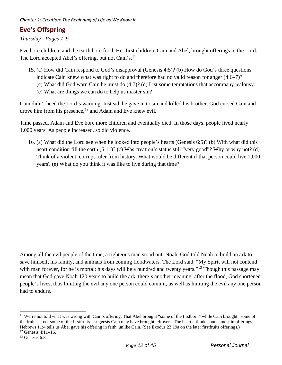# **Eve's Offspring**

*Thursday - Pages 7–9*

Eve bore children, and the earth bore food. Her first children, Cain and Abel, brought offerings to the Lord. The Lord accepted Abel's offering, but not Cain's.<sup>[11](#page-12-0)</sup>

- 15. (a) How did Cain respond to God's disapproval (Genesis 4:5)? (b) How do God's three questions indicate Cain knew what was right to do and therefore had no valid reason for anger (4:6–7)? (c) What did God warn Cain he must do (4:7)? (d) List some temptations that accompany jealousy.
	- (e) What are things we can do to help us master sin?

Cain didn't heed the Lord's warning. Instead, he gave in to sin and killed his brother. God cursed Cain and drove him from his presence,  $12$  and Adam and Eve knew evil.

Time passed. Adam and Eve bore more children and eventually died. In those days, people lived nearly 1,000 years. As people increased, so did violence.

16. (a) What did the Lord see when he looked into people's hearts (Genesis 6:5)? (b) With what did this heart condition fill the earth (6:11)? (c) Was creation's status still "very good"? Why or why not? (d) Think of a violent, corrupt ruler from history. What would be different if that person could live 1,000 years? (e) What do you think it was like to live during that time?

Among all the evil people of the time, a righteous man stood out: Noah. God told Noah to build an ark to save himself, his family, and animals from coming floodwaters. The Lord said, "My Spirit will not contend with man forever, for he is mortal; his days will be a hundred and twenty years."<sup>13</sup> Though this passage may mean that God gave Noah 120 years to build the ark, there's another meaning: after the flood, God shortened people's lives, thus limiting the evil any one person could commit, as well as limiting the evil any one person had to endure.

<span id="page-12-0"></span><sup>&</sup>lt;sup>11</sup> We're not told what was wrong with Cain's offering. That Abel brought "some of the firstborn" while Cain brought "some of the fruits"—not some of the firstfruits—suggests Cain may have brought leftovers. The heart attitude counts most in offerings. Hebrews 11:4 tells us Abel gave his offering in faith, unlike Cain. (See Exodus 23:19a on the later firstfruits offerings.)

<span id="page-12-1"></span> $12$  Genesis 4:11-16.

<span id="page-12-2"></span> $13$  Genesis 6:3.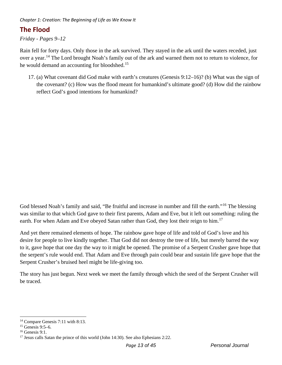# **The Flood**

*Friday - Pages 9–12* 

Rain fell for forty days. Only those in the ark survived. They stayed in the ark until the waters receded, just over a year.[14](#page-13-0) The Lord brought Noah's family out of the ark and warned them not to return to violence, for he would demand an accounting for bloodshed.<sup>[15](#page-13-1)</sup>

17. (a) What covenant did God make with earth's creatures (Genesis 9:12–16)? (b) What was the sign of the covenant? (c) How was the flood meant for humankind's ultimate good? (d) How did the rainbow reflect God's good intentions for humankind?

God blessed Noah's family and said, "Be fruitful and increase in number and fill the earth."<sup>16</sup> The blessing was similar to that which God gave to their first parents, Adam and Eve, but it left out something: ruling the earth. For when Adam and Eve obeyed Satan rather than God, they lost their reign to him.<sup>[17](#page-13-3)</sup>

And yet there remained elements of hope. The rainbow gave hope of life and told of God's love and his desire for people to live kindly together. That God did not destroy the tree of life, but merely barred the way to it, gave hope that one day the way to it might be opened. The promise of a Serpent Crusher gave hope that the serpent's rule would end. That Adam and Eve through pain could bear and sustain life gave hope that the Serpent Crusher's bruised heel might be life-giving too.

The story has just begun. Next week we meet the family through which the seed of the Serpent Crusher will be traced.

<span id="page-13-0"></span><sup>14</sup> Compare Genesis 7:11 with 8:13.

<span id="page-13-1"></span> $15$  Genesis 9:5–6.

<span id="page-13-2"></span> $16$  Genesis 9:1.

<span id="page-13-3"></span><sup>&</sup>lt;sup>17</sup> Jesus calls Satan the prince of this world (John 14:30). See also Ephesians 2:22.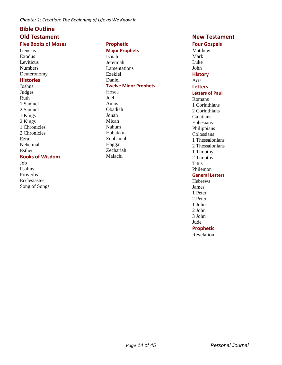#### **Bible Outline**

# **Old Testament**

### **Five Books of Moses**

**Genesis** Exodus Leviticus Numbers Deuteronomy

#### **Histories**

Joshua Judges Ruth 1 Samuel 2 Samuel 1 Kings 2 Kings 1 Chronicles 2 Chronicles Ezra Nehemiah Esther

#### **Books of Wisdom**

Job Psalms Proverbs Ecclesiastes Song of Songs

#### **Prophetic Major Prophets** Isaiah Jeremiah Lamentations Ezekiel Daniel

**Twelve Minor Prophets** Hosea Joel Amos Obadiah Jonah Micah Nahum Habakkuk Zephaniah Haggai Zechariah Malachi

#### **New Testament**

#### **Four Gospels** Matthew Mark Luke John **History** Acts **Letters Letters of Paul** Romans 1 Corinthians 2 Corinthians Galatians Ephesians Philippians Colossians 1 Thessalonians 2 Thessalonians

# 1 Timothy 2 Timothy **Titus**

# Philemon

#### **General Letters**

Hebrews James 1 Peter 2 Peter 1 John 2 John 3 John Jude

### **Prophetic**

Revelation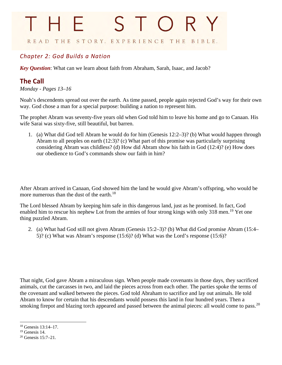# <span id="page-15-0"></span>STORY THE READ THE STORY. EXPERIENCE THE BIBLE.

# *Chapter 2: God Builds a Nation*

*Key Question*: What can we learn about faith from Abraham, Sarah, Isaac, and Jacob?

# **The Call**

*Monday - Pages 13–16* 

Noah's descendents spread out over the earth. As time passed, people again rejected God's way for their own way. God chose a man for a special purpose: building a nation to represent him.

The prophet Abram was seventy-five years old when God told him to leave his home and go to Canaan. His wife Sarai was sixty-five, still beautiful, but barren.

1. (a) What did God tell Abram he would do for him (Genesis 12:2–3)? (b) What would happen through Abram to all peoples on earth (12:3)? (c) What part of this promise was particularly surprising considering Abram was childless? (d) How did Abram show his faith in God (12:4)? (e) How does our obedience to God's commands show our faith in him?

After Abram arrived in Canaan, God showed him the land he would give Abram's offspring, who would be more numerous than the dust of the earth.<sup>[18](#page-15-1)</sup>

The Lord blessed Abram by keeping him safe in this dangerous land, just as he promised. In fact, God enabled him to rescue his nephew Lot from the armies of four strong kings with only 318 men.<sup>[19](#page-15-2)</sup> Yet one thing puzzled Abram.

2. (a) What had God still not given Abram (Genesis 15:2–3)? (b) What did God promise Abram (15:4– 5)? (c) What was Abram's response (15:6)? (d) What was the Lord's response (15:6)?

That night, God gave Abram a miraculous sign. When people made covenants in those days, they sacrificed animals, cut the carcasses in two, and laid the pieces across from each other. The parties spoke the terms of the covenant and walked between the pieces. God told Abraham to sacrifice and lay out animals. He told Abram to know for certain that his descendants would possess this land in four hundred years. Then a smoking firepot and blazing torch appeared and passed between the animal pieces: all would come to pass.<sup>[20](#page-15-3)</sup>

<span id="page-15-1"></span><sup>18</sup> Genesis 13:14–17.

<span id="page-15-2"></span> $19$  Genesis 14.

<span id="page-15-3"></span><sup>20</sup> Genesis 15:7–21.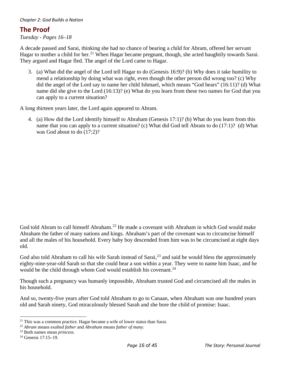### **The Proof**

*Tuesday - Pages 16–18* 

A decade passed and Sarai, thinking she had no chance of bearing a child for Abram, offered her servant Hagar to mother a child for her.<sup>[21](#page-16-0)</sup> When Hagar became pregnant, though, she acted haughtily towards Sarai. They argued and Hagar fled. The angel of the Lord came to Hagar.

3. (a) What did the angel of the Lord tell Hagar to do (Genesis 16:9)? (b) Why does it take humility to mend a relationship by doing what was right, even though the other person did wrong too? (c) Why did the angel of the Lord say to name her child Ishmael, which means "God hears" (16:11)? (d) What name did she give to the Lord (16:13)? (e) What do you learn from these two names for God that you can apply to a current situation?

A long thirteen years later, the Lord again appeared to Abram.

4. (a) How did the Lord identify himself to Abraham (Genesis 17:1)? (b) What do you learn from this name that you can apply to a current situation? (c) What did God tell Abram to do (17:1)? (d) What was God about to do (17:2)?

God told Abram to call himself Abraham.<sup>22</sup> He made a covenant with Abraham in which God would make Abraham the father of many nations and kings. Abraham's part of the covenant was to circumcise himself and all the males of his household. Every baby boy descended from him was to be circumcised at eight days old.

God also told Abraham to call his wife Sarah instead of Sarai,<sup>[23](#page-16-2)</sup> and said he would bless the approximately eighty-nine-year-old Sarah so that she could bear a son within a year. They were to name him Isaac, and he would be the child through whom God would establish his covenant.<sup>[24](#page-16-3)</sup>

Though such a pregnancy was humanly impossible, Abraham trusted God and circumcised all the males in his household.

And so, twenty-five years after God told Abraham to go to Canaan, when Abraham was one hundred years old and Sarah ninety, God miraculously blessed Sarah and she bore the child of promise: Isaac.

<span id="page-16-0"></span><sup>&</sup>lt;sup>21</sup> This was a common practice. Hagar became a wife of lower status than Sarai.

<span id="page-16-1"></span><sup>22</sup> *Abram* means *exalted father* and *Abraham* means *father of many*. 23 Both names mean *princess.*

<span id="page-16-2"></span>

<span id="page-16-3"></span> $24$  Genesis 17:15–19.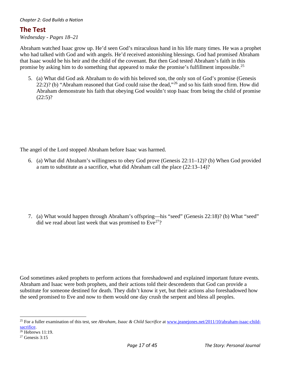#### **The Test**

*Wednesday - Pages 18–21* 

Abraham watched Isaac grow up. He'd seen God's miraculous hand in his life many times. He was a prophet who had talked with God and with angels. He'd received astonishing blessings. God had promised Abraham that Isaac would be his heir and the child of the covenant. But then God tested Abraham's faith in this promise by asking him to do something that appeared to make the promise's fulfillment impossible.<sup>[25](#page-17-0)</sup>

5. (a) What did God ask Abraham to do with his beloved son, the only son of God's promise (Genesis 22:2)? (b) "Abraham reasoned that God could raise the dead,"<sup>26</sup> and so his faith stood firm. How did Abraham demonstrate his faith that obeying God wouldn't stop Isaac from being the child of promise  $(22:5)?$ 

The angel of the Lord stopped Abraham before Isaac was harmed.

6. (a) What did Abraham's willingness to obey God prove (Genesis 22:11–12)? (b) When God provided a ram to substitute as a sacrifice, what did Abraham call the place (22:13–14)?

7. (a) What would happen through Abraham's offspring—his "seed" (Genesis 22:18)? (b) What "seed" did we read about last week that was promised to  $Eve^{27}$ ?

God sometimes asked prophets to perform actions that foreshadowed and explained important future events. Abraham and Isaac were both prophets, and their actions told their descendents that God can provide a substitute for someone destined for death. They didn't know it yet, but their actions also foreshadowed how the seed promised to Eve and now to them would one day crush the serpent and bless all peoples.

<span id="page-17-0"></span><sup>&</sup>lt;sup>25</sup> For a fuller examination of this test, see *Abraham, Isaac & Child Sacrifice* a[t www.jeanejones.net/2011/10/abraham-isaac-child](http://www.jeanejones.net/2011/10/abraham-isaac-child-sacrifice)[sacrifice.](http://www.jeanejones.net/2011/10/abraham-isaac-child-sacrifice)

<span id="page-17-1"></span> $26$  Hebrews 11:19.

<span id="page-17-2"></span> $27$  Genesis 3:15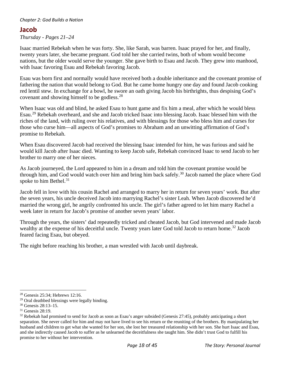### **Jacob**

*Thursday - Pages 21–24* 

Isaac married Rebekah when he was forty. She, like Sarah, was barren. Isaac prayed for her, and finally, twenty years later, she became pregnant. God told her she carried twins, both of whom would become nations, but the older would serve the younger. She gave birth to Esau and Jacob. They grew into manhood, with Isaac favoring Esau and Rebekah favoring Jacob.

Esau was born first and normally would have received both a double inheritance and the covenant promise of fathering the nation that would belong to God. But he came home hungry one day and found Jacob cooking red lentil stew. In exchange for a bowl, he swore an oath giving Jacob his birthrights, thus despising God's covenant and showing himself to be godless.[28](#page-18-0)

When Isaac was old and blind, he asked Esau to hunt game and fix him a meal, after which he would bless Esau.[29](#page-18-1) Rebekah overheard, and she and Jacob tricked Isaac into blessing Jacob. Isaac blessed him with the riches of the land, with ruling over his relatives, and with blessings for those who bless him and curses for those who curse him—all aspects of God's promises to Abraham and an unwitting affirmation of God's promise to Rebekah.

When Esau discovered Jacob had received the blessing Isaac intended for him, he was furious and said he would kill Jacob after Isaac died. Wanting to keep Jacob safe, Rebekah convinced Isaac to send Jacob to her brother to marry one of her nieces.

As Jacob journeyed, the Lord appeared to him in a dream and told him the covenant promise would be through him, and God would watch over him and bring him back safely.<sup>[30](#page-18-2)</sup> Jacob named the place where God spoke to him Bethel. $31$ 

Jacob fell in love with his cousin Rachel and arranged to marry her in return for seven years' work. But after the seven years, his uncle deceived Jacob into marrying Rachel's sister Leah. When Jacob discovered he'd married the wrong girl, he angrily confronted his uncle. The girl's father agreed to let him marry Rachel a week later in return for Jacob's promise of another seven years' labor.

Through the years, the sisters' dad repeatedly tricked and cheated Jacob, but God intervened and made Jacob wealthy at the expense of his deceitful uncle. Twenty years later God told Jacob to return home.<sup>[32](#page-18-4)</sup> Jacob feared facing Esau, but obeyed.

The night before reaching his brother, a man wrestled with Jacob until daybreak.

<span id="page-18-0"></span><sup>28</sup> Genesis 25:34; Hebrews 12:16.

<span id="page-18-1"></span><sup>&</sup>lt;sup>29</sup> Oral deathbed blessings were legally binding.

<span id="page-18-2"></span><sup>30</sup> Genesis 28:13–15.

<span id="page-18-3"></span><sup>31</sup> Genesis 28:19.

<span id="page-18-4"></span> $32$  Rebekah had promised to send for Jacob as soon as Esau's anger subsided (Genesis 27:45), probably anticipating a short separation. She never called for him and may not have lived to see his return or the reuniting of the brothers. By manipulating her husband and children to get what she wanted for her son, she lost her treasured relationship with her son. She hurt Isaac and Esau, and she indirectly caused Jacob to suffer as he unlearned the deceitfulness she taught him. She didn't trust God to fulfill his promise to her without her intervention.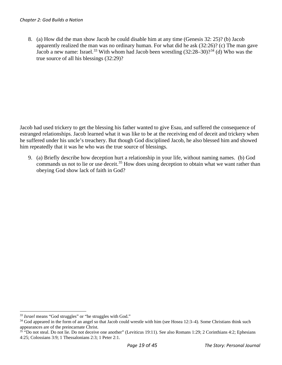8. (a) How did the man show Jacob he could disable him at any time (Genesis 32: 25)? (b) Jacob apparently realized the man was no ordinary human. For what did he ask (32:26)? (c) The man gave Jacob a new name: Israel.<sup>[33](#page-19-0)</sup> With whom had Jacob been wrestling  $(32.28-30)$ ?<sup>[34](#page-19-1)</sup> (d) Who was the true source of all his blessings (32:29)?

Jacob had used trickery to get the blessing his father wanted to give Esau, and suffered the consequence of estranged relationships. Jacob learned what it was like to be at the receiving end of deceit and trickery when he suffered under his uncle's treachery. But though God disciplined Jacob, he also blessed him and showed him repeatedly that it was he who was the true source of blessings.

9. (a) Briefly describe how deception hurt a relationship in your life, without naming names. (b) God commands us not to lie or use deceit.<sup>35</sup> How does using deception to obtain what we want rather than obeying God show lack of faith in God?

<span id="page-19-0"></span><sup>&</sup>lt;sup>33</sup> *Israel* means "God struggles" or "he struggles with God."

<span id="page-19-1"></span><sup>&</sup>lt;sup>34</sup> God appeared in the form of an angel so that Jacob could wrestle with him (see Hosea 12:3–4). Some Christians think such appearances are of the preincarnate Christ.

<span id="page-19-2"></span><sup>&</sup>lt;sup>35</sup> "Do not steal. Do not lie. Do not deceive one another" (Leviticus 19:11). See also Romans 1:29; 2 Corinthians 4:2; Ephesians 4:25; Colossians 3:9; 1 Thessalonians 2:3; 1 Peter 2:1.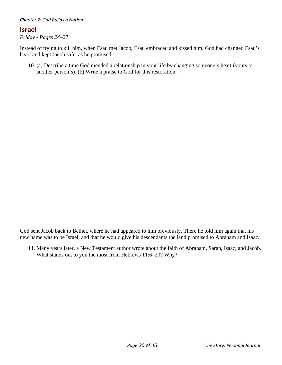#### **Israel**

*Friday - Pages 24–27* 

Instead of trying to kill him, when Esau met Jacob, Esau embraced and kissed him. God had changed Esau's heart and kept Jacob safe, as he promised.

10. (a) Describe a time God mended a relationship in your life by changing someone's heart (yours or another person's). (b) Write a praise to God for this restoration.

God sent Jacob back to Bethel, where he had appeared to him previously. There he told him again that his new name was to be Israel, and that he would give his descendants the land promised to Abraham and Isaac.

11. Many years later, a New Testament author wrote about the faith of Abraham, Sarah, Isaac, and Jacob. What stands out to you the most from Hebrews 11:6–20? Why?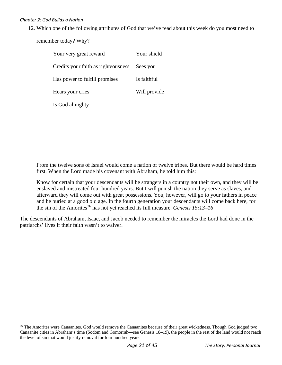12. Which one of the following attributes of God that we've read about this week do you most need to

remember today? Why?

| Your very great reward              | Your shield  |
|-------------------------------------|--------------|
| Credits your faith as righteousness | Sees you     |
| Has power to fulfill promises       | Is faithful  |
| Hears your cries                    | Will provide |
| Is God almighty                     |              |

From the twelve sons of Israel would come a nation of twelve tribes. But there would be hard times first. When the Lord made his covenant with Abraham, he told him this:

Know for certain that your descendants will be strangers in a country not their own, and they will be enslaved and mistreated four hundred years. But I will punish the nation they serve as slaves, and afterward they will come out with great possessions. You, however, will go to your fathers in peace and be buried at a good old age. In the fourth generation your descendants will come back here, for the sin of the Amorites<sup>[36](#page-21-0)</sup> has not yet reached its full measure. *Genesis 15:13–16* 

The descendants of Abraham, Isaac, and Jacob needed to remember the miracles the Lord had done in the patriarchs' lives if their faith wasn't to waiver.

<span id="page-21-0"></span><sup>&</sup>lt;sup>36</sup> The Amorites were Canaanites. God would remove the Canaanites because of their great wickedness. Though God judged two Canaanite cities in Abraham's time (Sodom and Gomorrah—see Genesis 18–19), the people in the rest of the land would not reach the level of sin that would justify removal for four hundred years.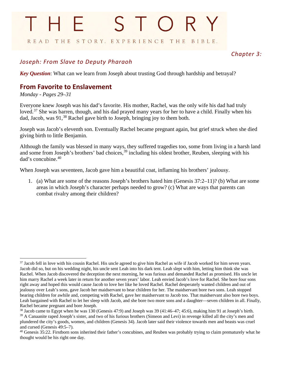# STORY THE READ THE STORY. EXPERIENCE THE BIBLE.

# <span id="page-22-0"></span>*Chapter 3:*

# *Joseph: From Slave to Deputy Pharaoh*

*Key Question*: What can we learn from Joseph about trusting God through hardship and betrayal?

# **From Favorite to Enslavement**

#### *Monday - Pages 29–31*

Everyone knew Joseph was his dad's favorite. His mother, Rachel, was the only wife his dad had truly loved.<sup>[37](#page-22-1)</sup> She was barren, though, and his dad prayed many years for her to have a child. Finally when his dad, Jacob, was 91,<sup>[38](#page-22-2)</sup> Rachel gave birth to Joseph, bringing joy to them both.

Joseph was Jacob's eleventh son. Eventually Rachel became pregnant again, but grief struck when she died giving birth to little Benjamin.

Although the family was blessed in many ways, they suffered tragedies too, some from living in a harsh land and some from Joseph's brothers' bad choices,<sup>39</sup> including his oldest brother, Reuben, sleeping with his dad's concubine.[40](#page-22-4)

When Joseph was seventeen, Jacob gave him a beautiful coat, inflaming his brothers' jealousy.

1. (a) What are some of the reasons Joseph's brothers hated him (Genesis 37:2–11)? (b) What are some areas in which Joseph's character perhaps needed to grow? (c) What are ways that parents can combat rivalry among their children?

<span id="page-22-1"></span><sup>&</sup>lt;sup>37</sup> Jacob fell in love with his cousin Rachel. His uncle agreed to give him Rachel as wife if Jacob worked for him seven years. Jacob did so, but on his wedding night, his uncle sent Leah into his dark tent. Leah slept with him, letting him think she was Rachel. When Jacob discovered the deception the next morning, he was furious and demanded Rachel as promised. His uncle let him marry Rachel a week later in return for another seven years' labor. Leah envied Jacob's love for Rachel. She bore four sons right away and hoped this would cause Jacob to love her like he loved Rachel. Rachel desperately wanted children and out of jealousy over Leah's sons, gave Jacob her maidservant to bear children for her. The maidservant bore two sons. Leah stopped bearing children for awhile and, competing with Rachel, gave her maidservant to Jacob too. That maidservant also bore two boys. Leah bargained with Rachel to let her sleep with Jacob, and she bore two more sons and a daughter—seven children in all. Finally, Rachel became pregnant and bore Joseph.

<span id="page-22-3"></span><span id="page-22-2"></span><sup>38</sup> Jacob came to Egypt when he was 130 (Genesis 47:9) and Joseph was 39 (41:46–47; 45:6), making him 91 at Joseph's birth.  $39$  A Canaanite raped Joseph's sister, and two of his furious brothers (Simeon and Levi) in revenge killed all the city's men and plundered the city's goods, women, and children (Genesis 34). Jacob later said their violence towards men and beasts was cruel and cursed (Genesis 49:5–7).

<span id="page-22-4"></span> $40$  Genesis 35:22. Firstborn sons inherited their father's concubines, and Reuben was probably trying to claim prematurely what he thought would be his right one day.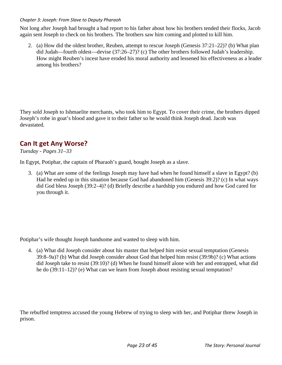#### *Chapter 3: Joseph: From Slave to Deputy Pharaoh*

Not long after Joseph had brought a bad report to his father about how his brothers tended their flocks, Jacob again sent Joseph to check on his brothers. The brothers saw him coming and plotted to kill him.

2. (a) How did the oldest brother, Reuben, attempt to rescue Joseph (Genesis 37:21–22)? (b) What plan did Judah—fourth oldest—devise (37:26–27)? (c) The other brothers followed Judah's leadership. How might Reuben's incest have eroded his moral authority and lessened his effectiveness as a leader among his brothers?

They sold Joseph to Ishmaelite merchants, who took him to Egypt. To cover their crime, the brothers dipped Joseph's robe in goat's blood and gave it to their father so he would think Joseph dead. Jacob was devastated.

# **Can It get Any Worse?**

#### *Tuesday - Pages 31–33*

In Egypt, Potiphar, the captain of Pharaoh's guard, bought Joseph as a slave.

3. (a) What are some of the feelings Joseph may have had when he found himself a slave in Egypt? (b) Had he ended up in this situation because God had abandoned him (Genesis 39:2)? (c) In what ways did God bless Joseph (39:2–4)? (d) Briefly describe a hardship you endured and how God cared for you through it.

Potiphar's wife thought Joseph handsome and wanted to sleep with him.

4. (a) What did Joseph consider about his master that helped him resist sexual temptation (Genesis 39:8–9a)? (b) What did Joseph consider about God that helped him resist (39:9b)? (c) What actions did Joseph take to resist (39:10)? (d) When he found himself alone with her and entrapped, what did he do (39:11–12)? (e) What can we learn from Joseph about resisting sexual temptation?

The rebuffed temptress accused the young Hebrew of trying to sleep with her, and Potiphar threw Joseph in prison.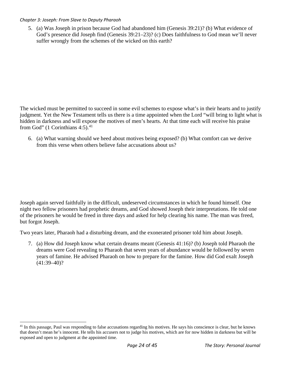#### *Chapter 3: Joseph: From Slave to Deputy Pharaoh*

5. (a) Was Joseph in prison because God had abandoned him (Genesis 39:21)? (b) What evidence of God's presence did Joseph find (Genesis 39:21–23)? (c) Does faithfulness to God mean we'll never suffer wrongly from the schemes of the wicked on this earth?

The wicked must be permitted to succeed in some evil schemes to expose what's in their hearts and to justify judgment. Yet the New Testament tells us there is a time appointed when the Lord "will bring to light what is hidden in darkness and will expose the motives of men's hearts. At that time each will receive his praise from God" (1 Corinthians  $4:5$ ).<sup>[41](#page-24-0)</sup>

6. (a) What warning should we heed about motives being exposed? (b) What comfort can we derive from this verse when others believe false accusations about us?

Joseph again served faithfully in the difficult, undeserved circumstances in which he found himself. One night two fellow prisoners had prophetic dreams, and God showed Joseph their interpretations. He told one of the prisoners he would be freed in three days and asked for help clearing his name. The man was freed, but forgot Joseph.

Two years later, Pharaoh had a disturbing dream, and the exonerated prisoner told him about Joseph.

7. (a) How did Joseph know what certain dreams meant (Genesis 41:16)? (b) Joseph told Pharaoh the dreams were God revealing to Pharaoh that seven years of abundance would be followed by seven years of famine. He advised Pharaoh on how to prepare for the famine. How did God exalt Joseph  $(41:39-40)?$ 

<span id="page-24-0"></span><sup>&</sup>lt;sup>41</sup> In this passage, Paul was responding to false accusations regarding his motives. He says his conscience is clear, but he knows that doesn't mean he's innocent. He tells his accusers not to judge his motives, which are for now hidden in darkness but will be exposed and open to judgment at the appointed time.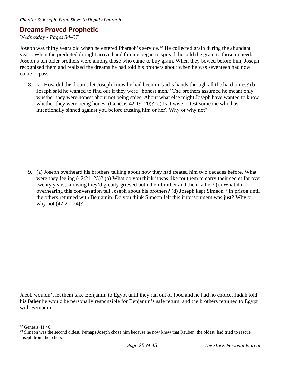# **Dreams Proved Prophetic**

*Wednesday - Pages 34–37* 

Joseph was thirty years old when he entered Pharaoh's service.<sup>[42](#page-25-0)</sup> He collected grain during the abundant years. When the predicted drought arrived and famine began to spread, he sold the grain to those in need. Joseph's ten older brothers were among those who came to buy grain. When they bowed before him, Joseph recognized them and realized the dreams he had told his brothers about when he was seventeen had now come to pass.

8. (a) How did the dreams let Joseph know he had been in God's hands through all the hard times? (b) Joseph said he wanted to find out if they were "honest men." The brothers assumed he meant only whether they were honest about not being spies. About what else might Joseph have wanted to know whether they were being honest (Genesis 42:19–20)? (c) Is it wise to test someone who has intentionally sinned against you before trusting him or her? Why or why not?

9. (a) Joseph overheard his brothers talking about how they had treated him two decades before. What were they feeling (42:21–23)? (b) What do you think it was like for them to carry their secret for over twenty years, knowing they'd greatly grieved both their brother and their father? (c) What did overhearing this conversation tell Joseph about his brothers? (d) Joseph kept Simeon<sup>[43](#page-25-1)</sup> in prison until the others returned with Benjamin. Do you think Simeon felt this imprisonment was just? Why or why not (42:21, 24)?

Jacob wouldn't let them take Benjamin to Egypt until they ran out of food and he had no choice. Judah told his father he would be personally responsible for Benjamin's safe return, and the brothers returned to Egypt with Benjamin.

<span id="page-25-0"></span><sup>42</sup> Genesis 41:46.

<span id="page-25-1"></span><sup>&</sup>lt;sup>43</sup> Simeon was the second oldest. Perhaps Joseph chose him because he now knew that Reuben, the oldest, had tried to rescue Joseph from the others.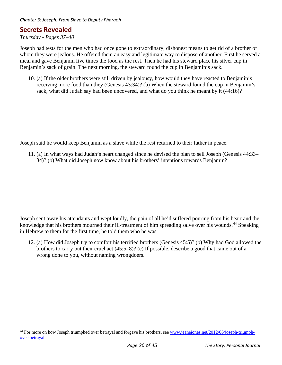### **Secrets Revealed**

#### *Thursday - Pages 37–40*

Joseph had tests for the men who had once gone to extraordinary, dishonest means to get rid of a brother of whom they were jealous. He offered them an easy and legitimate way to dispose of another. First he served a meal and gave Benjamin five times the food as the rest. Then he had his steward place his silver cup in Benjamin's sack of grain. The next morning, the steward found the cup in Benjamin's sack.

10. (a) If the older brothers were still driven by jealousy, how would they have reacted to Benjamin's receiving more food than they (Genesis 43:34)? (b) When the steward found the cup in Benjamin's sack, what did Judah say had been uncovered, and what do you think he meant by it (44:16)?

Joseph said he would keep Benjamin as a slave while the rest returned to their father in peace.

11. (a) In what ways had Judah's heart changed since he devised the plan to sell Joseph (Genesis 44:33– 34)? (b) What did Joseph now know about his brothers' intentions towards Benjamin?

Joseph sent away his attendants and wept loudly, the pain of all he'd suffered pouring from his heart and the knowledge that his brothers mourned their ill-treatment of him spreading salve over his wounds.<sup>[44](#page-26-0)</sup> Speaking in Hebrew to them for the first time, he told them who he was.

12. (a) How did Joseph try to comfort his terrified brothers (Genesis 45:5)? (b) Why had God allowed the brothers to carry out their cruel act (45:5–8)? (c) If possible, describe a good that came out of a wrong done to you, without naming wrongdoers.

<span id="page-26-0"></span><sup>&</sup>lt;sup>44</sup> For more on how Joseph triumphed over betrayal and forgave his brothers, see [www.jeanejones.net/2012/06/joseph-triumph](http://www.jeanejones.net/2012/06/joseph-triumph-over-betrayal/)[over-betrayal.](http://www.jeanejones.net/2012/06/joseph-triumph-over-betrayal/)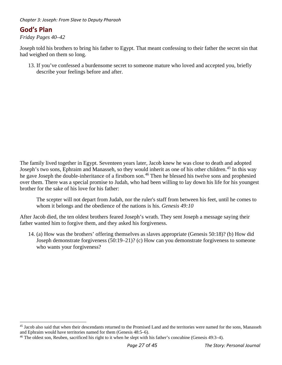*Chapter 3: Joseph: From Slave to Deputy Pharaoh* 

# **God's Plan**

*Friday Pages 40–42* 

Joseph told his brothers to bring his father to Egypt. That meant confessing to their father the secret sin that had weighed on them so long.

13. If you've confessed a burdensome secret to someone mature who loved and accepted you, briefly describe your feelings before and after.

The family lived together in Egypt. Seventeen years later, Jacob knew he was close to death and adopted Joseph's two sons, Ephraim and Manasseh, so they would inherit as one of his other children.<sup>[45](#page-27-0)</sup> In this way he gave Joseph the double-inheritance of a firstborn son.<sup>[46](#page-27-1)</sup> Then he blessed his twelve sons and prophesied over them. There was a special promise to Judah, who had been willing to lay down his life for his youngest brother for the sake of his love for his father:

The scepter will not depart from Judah, nor the ruler's staff from between his feet, until he comes to whom it belongs and the obedience of the nations is his. *Genesis 49:10* 

After Jacob died, the ten oldest brothers feared Joseph's wrath. They sent Joseph a message saying their father wanted him to forgive them, and they asked his forgiveness.

14. (a) How was the brothers' offering themselves as slaves appropriate (Genesis 50:18)? (b) How did Joseph demonstrate forgiveness (50:19–21)? (c) How can you demonstrate forgiveness to someone who wants your forgiveness?

<span id="page-27-0"></span><sup>&</sup>lt;sup>45</sup> Jacob also said that when their descendants returned to the Promised Land and the territories were named for the sons, Manasseh and Ephraim would have territories named for them (Genesis 48:5–6).<br><sup>46</sup> The oldest son, Reuben, sacrificed his right to it when he slept with his father's concubine (Genesis 49:3–4).

<span id="page-27-1"></span>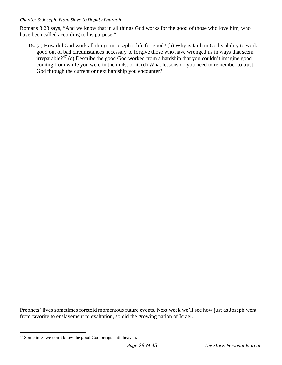#### *Chapter 3: Joseph: From Slave to Deputy Pharaoh*

Romans 8:28 says, "And we know that in all things God works for the good of those who love him, who have been called according to his purpose."

15. (a) How did God work all things in Joseph's life for good? (b) Why is faith in God's ability to work good out of bad circumstances necessary to forgive those who have wronged us in ways that seem irreparable?[47](#page-28-0) (c) Describe the good God worked from a hardship that you couldn't imagine good coming from while you were in the midst of it. (d) What lessons do you need to remember to trust God through the current or next hardship you encounter?

Prophets' lives sometimes foretold momentous future events. Next week we'll see how just as Joseph went from favorite to enslavement to exaltation, so did the growing nation of Israel.

<span id="page-28-0"></span><sup>47</sup> Sometimes we don't know the good God brings until heaven.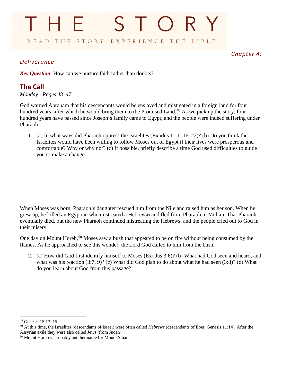# STORY THE READ THE STORY. EXPERIENCE THE BIBLE.

### *Deliverance*

<span id="page-29-0"></span>*Chapter 4:* 

*Key Question*: How can we nurture faith rather than doubts?

# **The Call**

*Monday - Pages 43–47* 

God warned Abraham that his descendants would be enslaved and mistreated in a foreign land for four hundred years, after which he would bring them to the Promised Land.<sup>[48](#page-29-1)</sup> As we pick up the story, four hundred years have passed since Joseph's family came to Egypt, and the people were indeed suffering under Pharaoh.

1. (a) In what ways did Pharaoh oppress the Israelites (Exodus 1:11–16, 22)? (b) Do you think the Israelites would have been willing to follow Moses out of Egypt if their lives were prosperous and comfortable? Why or why not? (c) If possible, briefly describe a time God used difficulties to guide you to make a change.

When Moses was born, Pharaoh's daughter rescued him from the Nile and raised him as her son. When he grew up, he killed an Egyptian who mistreated a Hebrew[49](#page-29-2) and fled from Pharaoh to Midian. That Pharaoh eventually died, but the new Pharaoh continued mistreating the Hebrews, and the people cried out to God in their misery.

One day on Mount Horeb,<sup>[50](#page-29-3)</sup> Moses saw a bush that appeared to be on fire without being consumed by the flames. As he approached to see this wonder, the Lord God called to him from the bush.

2. (a) How did God first identify himself to Moses (Exodus 3:6)? (b) What had God seen and heard, and what was his reaction (3:7, 9)? (c) What did God plan to do about what he had seen (3:8)? (d) What do you learn about God from this passage?

<span id="page-29-1"></span><sup>48</sup> Genesis 15:13–15.

<span id="page-29-2"></span><sup>49</sup> At this time, the Israelites (descendants of Israel) were often called *Hebrews* (descendants of Eber, Genesis 11:14). After the Assyrian exile they were also called Jews (from Judah).

<span id="page-29-3"></span><sup>50</sup> Mount Horeb is probably another name for Mount Sinai.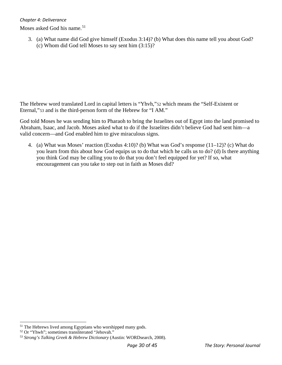#### *Chapter 4: Deliverance*

Moses asked God his name.<sup>[51](#page-30-0)</sup>

3. (a) What name did God give himself (Exodus 3:14)? (b) What does this name tell you about God? (c) Whom did God tell Moses to say sent him (3:15)?

The Hebrew word translated Lord in capital letters is "Yhvh,"[52](#page-30-1) which means the "Self-Existent or Eternal,"[53](#page-30-2) and is the third-person form of the Hebrew for "I AM."

God told Moses he was sending him to Pharaoh to bring the Israelites out of Egypt into the land promised to Abraham, Isaac, and Jacob. Moses asked what to do if the Israelites didn't believe God had sent him—a valid concern—and God enabled him to give miraculous signs.

4. (a) What was Moses' reaction (Exodus 4:10)? (b) What was God's response (11–12)? (c) What do you learn from this about how God equips us to do that which he calls us to do? (d) Is there anything you think God may be calling you to do that you don't feel equipped for yet? If so, what encouragement can you take to step out in faith as Moses did?

<span id="page-30-0"></span><sup>&</sup>lt;sup>51</sup> The Hebrews lived among Egyptians who worshipped many gods.

<span id="page-30-1"></span><sup>52</sup> Or "Yhwh"; sometimes transliterated "Jehovah."

<span id="page-30-2"></span><sup>53</sup> *Strong's Talking Greek & Hebrew Dictionary* (Austin: WORDsearch, 2008).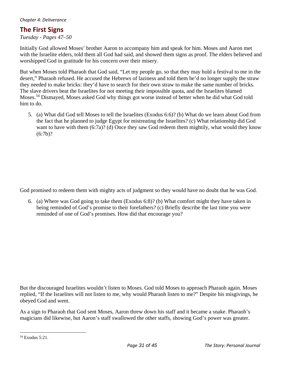# **The First Signs**

*Tuesday - Pages 47–50* 

Initially God allowed Moses' brother Aaron to accompany him and speak for him. Moses and Aaron met with the Israelite elders, told them all God had said, and showed them signs as proof. The elders believed and worshipped God in gratitude for his concern over their misery.

But when Moses told Pharaoh that God said, "Let my people go, so that they may hold a festival to me in the desert," Pharaoh refused. He accused the Hebrews of laziness and told them he'd no longer supply the straw they needed to make bricks: they'd have to search for their own straw to make the same number of bricks. The slave drivers beat the Israelites for not meeting their impossible quota, and the Israelites blamed Moses.[54](#page-31-0) Dismayed, Moses asked God why things got worse instead of better when he did what God told him to do.

5. (a) What did God tell Moses to tell the Israelites (Exodus 6:6)? (b) What do we learn about God from the fact that he planned to judge Egypt for mistreating the Israelites? (c) What relationship did God want to have with them (6:7a)? (d) Once they saw God redeem them mightily, what would they know  $(6:7b)$ ?

God promised to redeem them with mighty acts of judgment so they would have no doubt that he was God.

6. (a) Where was God going to take them (Exodus 6:8)? (b) What comfort might they have taken in being reminded of God's promise to their forefathers? (c) Briefly describe the last time you were reminded of one of God's promises. How did that encourage you?

But the discouraged Israelites wouldn't listen to Moses. God told Moses to approach Pharaoh again. Moses replied, "If the Israelites will not listen to me, why would Pharaoh listen to me?" Despite his misgivings, he obeyed God and went.

As a sign to Pharaoh that God sent Moses, Aaron threw down his staff and it became a snake. Pharaoh's magicians did likewise, but Aaron's staff swallowed the other staffs, showing God's power was greater.

<span id="page-31-0"></span><sup>54</sup> Exodus 5:21.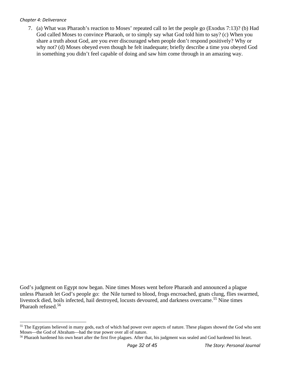#### *Chapter 4: Deliverance*

7. (a) What was Pharaoh's reaction to Moses' repeated call to let the people go (Exodus 7:13)? (b) Had God called Moses to convince Pharaoh, or to simply say what God told him to say? (c) When you share a truth about God, are you ever discouraged when people don't respond positively? Why or why not? (d) Moses obeyed even though he felt inadequate; briefly describe a time you obeyed God in something you didn't feel capable of doing and saw him come through in an amazing way.

God's judgment on Egypt now began. Nine times Moses went before Pharaoh and announced a plague unless Pharaoh let God's people go: the Nile turned to blood, frogs encroached, gnats clung, flies swarmed, livestock died, boils infected, hail destroyed, locusts devoured, and darkness overcame.<sup>[55](#page-32-0)</sup> Nine times Pharaoh refused.<sup>[56](#page-32-1)</sup>

<span id="page-32-0"></span><sup>&</sup>lt;sup>55</sup> The Egyptians believed in many gods, each of which had power over aspects of nature. These plagues showed the God who sent Moses—the God of Abraham—had the true power over all of nature.

<span id="page-32-1"></span><sup>&</sup>lt;sup>56</sup> Pharaoh hardened his own heart after the first five plagues. After that, his judgment was sealed and God hardened his heart.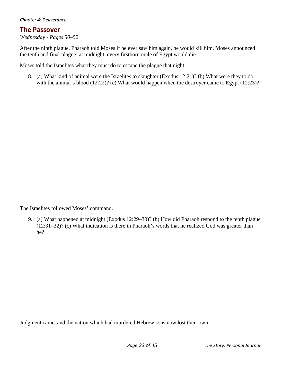#### *Chapter 4: Deliverance*

#### **The Passover**

*Wednesday - Pages 50–52* 

After the ninth plague, Pharaoh told Moses if he ever saw him again, he would kill him. Moses announced the tenth and final plague: at midnight, every firstborn male of Egypt would die.

Moses told the Israelites what they must do to escape the plague that night.

8. (a) What kind of animal were the Israelites to slaughter (Exodus 12:21)? (b) What were they to do with the animal's blood (12:22)? (c) What would happen when the destroyer came to Egypt (12:23)?

The Israelites followed Moses' command.

9. (a) What happened at midnight (Exodus 12:29–30)? (b) How did Pharaoh respond to the tenth plague (12:31–32)? (c) What indication is there in Pharaoh's words that he realized God was greater than he?

Judgment came, and the nation which had murdered Hebrew sons now lost their own.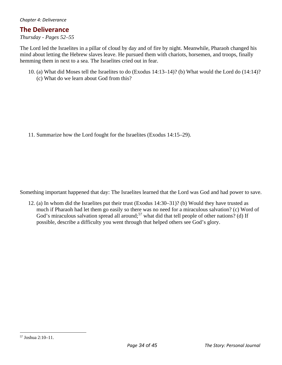### **The Deliverance**

*Thursday - Pages 52–55* 

The Lord led the Israelites in a pillar of cloud by day and of fire by night. Meanwhile, Pharaoh changed his mind about letting the Hebrew slaves leave. He pursued them with chariots, horsemen, and troops, finally hemming them in next to a sea. The Israelites cried out in fear.

10. (a) What did Moses tell the Israelites to do (Exodus 14:13–14)? (b) What would the Lord do (14:14)? (c) What do we learn about God from this?

11. Summarize how the Lord fought for the Israelites (Exodus 14:15–29).

Something important happened that day: The Israelites learned that the Lord was God and had power to save.

12. (a) In whom did the Israelites put their trust (Exodus 14:30–31)? (b) Would they have trusted as much if Pharaoh had let them go easily so there was no need for a miraculous salvation? (c) Word of God's miraculous salvation spread all around;<sup>[57](#page-34-0)</sup> what did that tell people of other nations? (d) If possible, describe a difficulty you went through that helped others see God's glory.

<span id="page-34-0"></span><sup>57</sup> Joshua 2:10–11.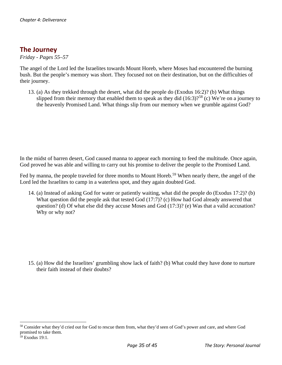# **The Journey**

*Friday - Pages 55–57* 

The angel of the Lord led the Israelites towards Mount Horeb, where Moses had encountered the burning bush. But the people's memory was short. They focused not on their destination, but on the difficulties of their journey.

13. (a) As they trekked through the desert, what did the people do (Exodus 16:2)? (b) What things slipped from their memory that enabled them to speak as they did  $(16:3)$ ?<sup>[58](#page-35-0)</sup> (c) We're on a journey to the heavenly Promised Land. What things slip from our memory when we grumble against God?

In the midst of barren desert, God caused manna to appear each morning to feed the multitude. Once again, God proved he was able and willing to carry out his promise to deliver the people to the Promised Land.

Fed by manna, the people traveled for three months to Mount Horeb.<sup>[59](#page-35-1)</sup> When nearly there, the angel of the Lord led the Israelites to camp in a waterless spot, and they again doubted God.

14. (a) Instead of asking God for water or patiently waiting, what did the people do (Exodus 17:2)? (b) What question did the people ask that tested God (17:7)? (c) How had God already answered that question? (d) Of what else did they accuse Moses and God (17:3)? (e) Was that a valid accusation? Why or why not?

15. (a) How did the Israelites' grumbling show lack of faith? (b) What could they have done to nurture their faith instead of their doubts?

<span id="page-35-0"></span><sup>&</sup>lt;sup>58</sup> Consider what they'd cried out for God to rescue them from, what they'd seen of God's power and care, and where God promised to take them.

<span id="page-35-1"></span> $59$  Exodus 19:1.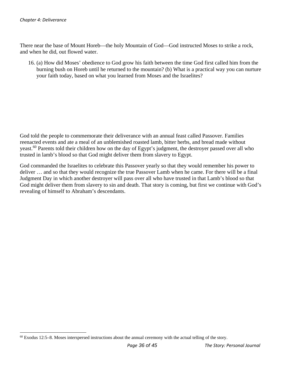There near the base of Mount Horeb—the holy Mountain of God—God instructed Moses to strike a rock, and when he did, out flowed water.

16. (a) How did Moses' obedience to God grow his faith between the time God first called him from the burning bush on Horeb until he returned to the mountain? (b) What is a practical way you can nurture your faith today, based on what you learned from Moses and the Israelites?

God told the people to commemorate their deliverance with an annual feast called Passover. Families reenacted events and ate a meal of an unblemished roasted lamb, bitter herbs, and bread made without yeast.<sup>[60](#page-36-0)</sup> Parents told their children how on the day of Egypt's judgment, the destroyer passed over all who trusted in lamb's blood so that God might deliver them from slavery to Egypt.

God commanded the Israelites to celebrate this Passover yearly so that they would remember his power to deliver … and so that they would recognize the true Passover Lamb when he came. For there will be a final Judgment Day in which another destroyer will pass over all who have trusted in that Lamb's blood so that God might deliver them from slavery to sin and death. That story is coming, but first we continue with God's revealing of himself to Abraham's descendants.

<span id="page-36-0"></span> $60$  Exodus 12:5–8. Moses interspersed instructions about the annual ceremony with the actual telling of the story.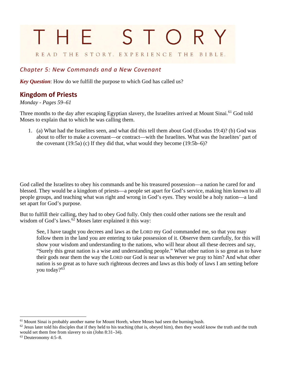# <span id="page-37-0"></span>STOR THE READ THE STORY. EXPERIENCE THE BIBLE.

### *Chapter 5: New Commands and a New Covenant*

*Key Question*: How do we fulfill the purpose to which God has called us?

# **Kingdom of Priests**

#### *Monday - Pages 59–61*

Three months to the day after escaping Egyptian slavery, the Israelites arrived at Mount Sinai.<sup>61</sup> God told Moses to explain that to which he was calling them.

1. (a) What had the Israelites seen, and what did this tell them about God (Exodus 19:4)? (b) God was about to offer to make a covenant—or contract—with the Israelites. What was the Israelites' part of the covenant (19:5a) (c) If they did that, what would they become (19:5b–6)?

God called the Israelites to obey his commands and be his treasured possession—a nation he cared for and blessed. They would be a kingdom of priests—a people set apart for God's service, making him known to all people groups, and teaching what was right and wrong in God's eyes. They would be a holy nation—a land set apart for God's purpose.

But to fulfill their calling, they had to obey God fully. Only then could other nations see the result and wisdom of God's laws. $6\overline{2}$  Moses later explained it this way:

See, I have taught you decrees and laws as the LORD my God commanded me, so that you may follow them in the land you are entering to take possession of it. Observe them carefully, for this will show your wisdom and understanding to the nations, who will hear about all these decrees and say, "Surely this great nation is a wise and understanding people." What other nation is so great as to have their gods near them the way the LORD our God is near us whenever we pray to him? And what other nation is so great as to have such righteous decrees and laws as this body of laws I am setting before you today?<sup>63</sup>

<span id="page-37-1"></span> $<sup>61</sup>$  Mount Sinai is probably another name for Mount Horeb, where Moses had seen the burning bush.</sup>

<span id="page-37-2"></span> $62$  Jesus later told his disciples that if they held to his teaching (that is, obeyed him), then they would know the truth and the truth would set them free from slavery to sin (John 8:31–34).

<span id="page-37-3"></span><sup>63</sup> Deuteronomy 4:5–8.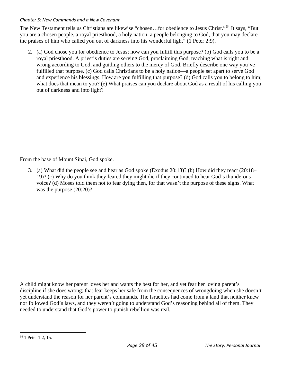#### *Chapter 5: New Commands and a New Covenant*

The New Testament tells us Christians are likewise "chosen…for obedience to Jesus Christ."[64](#page-38-0) It says, "But you are a chosen people, a royal priesthood, a holy nation, a people belonging to God, that you may declare the praises of him who called you out of darkness into his wonderful light" (1 Peter 2:9).

2. (a) God chose you for obedience to Jesus; how can you fulfill this purpose? (b) God calls you to be a royal priesthood. A priest's duties are serving God, proclaiming God, teaching what is right and wrong according to God, and guiding others to the mercy of God. Briefly describe one way you've fulfilled that purpose. (c) God calls Christians to be a holy nation—a people set apart to serve God and experience his blessings. How are you fulfilling that purpose? (d) God calls you to belong to him; what does that mean to you? (e) What praises can you declare about God as a result of his calling you out of darkness and into light?

From the base of Mount Sinai, God spoke.

3. (a) What did the people see and hear as God spoke (Exodus 20:18)? (b) How did they react (20:18– 19)? (c) Why do you think they feared they might die if they continued to hear God's thunderous voice? (d) Moses told them not to fear dying then, for that wasn't the purpose of these signs. What was the purpose (20:20)?

A child might know her parent loves her and wants the best for her, and yet fear her loving parent's discipline if she does wrong; that fear keeps her safe from the consequences of wrongdoing when she doesn't yet understand the reason for her parent's commands. The Israelites had come from a land that neither knew nor followed God's laws, and they weren't going to understand God's reasoning behind all of them. They needed to understand that God's power to punish rebellion was real.

<span id="page-38-0"></span><sup>64</sup> 1 Peter 1:2, 15.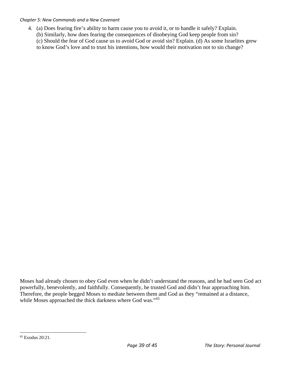#### *Chapter 5: New Commands and a New Covenant*

4. (a) Does fearing fire's ability to harm cause you to avoid it, or to handle it safely? Explain. (b) Similarly, how does fearing the consequences of disobeying God keep people from sin? (c) Should the fear of God cause us to avoid God or avoid sin? Explain. (d) As some Israelites grew to know God's love and to trust his intentions, how would their motivation not to sin change?

Moses had already chosen to obey God even when he didn't understand the reasons, and he had seen God act powerfully, benevolently, and faithfully. Consequently, he trusted God and didn't fear approaching him. Therefore, the people begged Moses to mediate between them and God as they "remained at a distance, while Moses approached the thick darkness where God was."<sup>[65](#page-39-0)</sup>

<span id="page-39-0"></span><sup>65</sup> Exodus 20:21.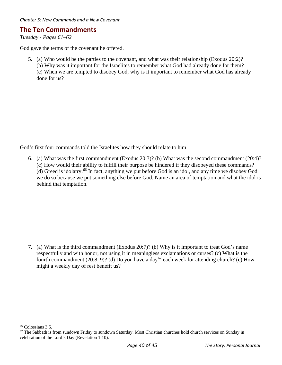### **The Ten Commandments**

*Tuesday - Pages 61–62* 

God gave the terms of the covenant he offered.

5. (a) Who would be the parties to the covenant, and what was their relationship (Exodus 20:2)? (b) Why was it important for the Israelites to remember what God had already done for them? (c) When we are tempted to disobey God, why is it important to remember what God has already done for us?

God's first four commands told the Israelites how they should relate to him.

6. (a) What was the first commandment (Exodus 20:3)? (b) What was the second commandment (20:4)? (c) How would their ability to fulfill their purpose be hindered if they disobeyed these commands? (d) Greed is idolatry.[66](#page-40-0) In fact, anything we put before God is an idol, and any time we disobey God we do so because we put something else before God. Name an area of temptation and what the idol is behind that temptation.

7. (a) What is the third commandment (Exodus 20:7)? (b) Why is it important to treat God's name respectfully and with honor, not using it in meaningless exclamations or curses? (c) What is the fourth commandment (20:8–9)? (d) Do you have a day<sup>[67](#page-40-1)</sup> each week for attending church? (e) How might a weekly day of rest benefit us?

<span id="page-40-0"></span><sup>66</sup> Colossians 3:5.

<span id="page-40-1"></span><sup>&</sup>lt;sup>67</sup> The Sabbath is from sundown Friday to sundown Saturday. Most Christian churches hold church services on Sunday in celebration of the Lord's Day (Revelation 1:10).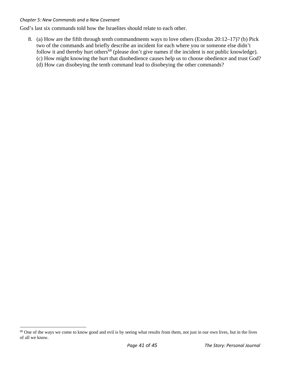#### *Chapter 5: New Commands and a New Covenant*

God's last six commands told how the Israelites should relate to each other.

8. (a) How are the fifth through tenth commandments ways to love others (Exodus 20:12–17)? (b) Pick two of the commands and briefly describe an incident for each where you or someone else didn't follow it and thereby hurt others<sup>68</sup> (please don't give names if the incident is not public knowledge). (c) How might knowing the hurt that disobedience causes help us to choose obedience and trust God? (d) How can disobeying the tenth command lead to disobeying the other commands?

<span id="page-41-0"></span><sup>&</sup>lt;sup>68</sup> One of the ways we come to know good and evil is by seeing what results from them, not just in our own lives, but in the lives of all we know.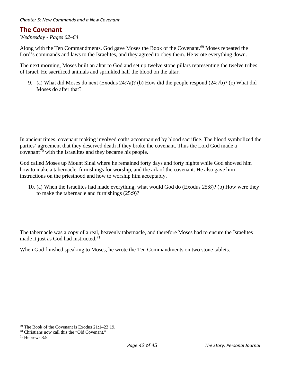### **The Covenant**

*Wednesday - Pages 62–64* 

Along with the Ten Commandments, God gave Moses the Book of the Covenant.<sup>[69](#page-42-0)</sup> Moses repeated the Lord's commands and laws to the Israelites, and they agreed to obey them. He wrote everything down.

The next morning, Moses built an altar to God and set up twelve stone pillars representing the twelve tribes of Israel. He sacrificed animals and sprinkled half the blood on the altar.

9. (a) What did Moses do next (Exodus 24:7a)? (b) How did the people respond (24:7b)? (c) What did Moses do after that?

In ancient times, covenant making involved oaths accompanied by blood sacrifice. The blood symbolized the parties' agreement that they deserved death if they broke the covenant. Thus the Lord God made a  $\frac{1}{20}$  covenant<sup>[70](#page-42-1)</sup> with the Israelites and they became his people.

God called Moses up Mount Sinai where he remained forty days and forty nights while God showed him how to make a tabernacle, furnishings for worship, and the ark of the covenant. He also gave him instructions on the priesthood and how to worship him acceptably.

10. (a) When the Israelites had made everything, what would God do (Exodus 25:8)? (b) How were they to make the tabernacle and furnishings (25:9)?

The tabernacle was a copy of a real, heavenly tabernacle, and therefore Moses had to ensure the Israelites made it just as God had instructed.<sup>[71](#page-42-2)</sup>

When God finished speaking to Moses, he wrote the Ten Commandments on two stone tablets.

<span id="page-42-0"></span><sup>69</sup> The Book of the Covenant is Exodus 21:1–23:19.

<span id="page-42-1"></span><sup>70</sup> Christians now call this the "Old Covenant."

<span id="page-42-2"></span> $71$  Hebrews 8:5.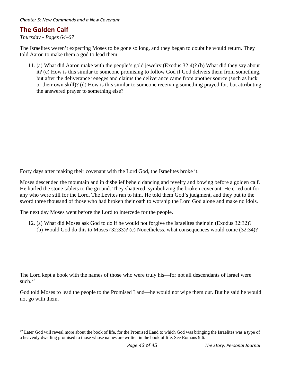# **The Golden Calf**

*Thursday - Pages 64–67* 

The Israelites weren't expecting Moses to be gone so long, and they began to doubt he would return. They told Aaron to make them a god to lead them.

11. (a) What did Aaron make with the people's gold jewelry (Exodus 32:4)? (b) What did they say about it? (c) How is this similar to someone promising to follow God if God delivers them from something, but after the deliverance reneges and claims the deliverance came from another source (such as luck or their own skill)? (d) How is this similar to someone receiving something prayed for, but attributing the answered prayer to something else?

Forty days after making their covenant with the Lord God, the Israelites broke it.

Moses descended the mountain and in disbelief beheld dancing and revelry and bowing before a golden calf. He hurled the stone tablets to the ground. They shattered, symbolizing the broken covenant. He cried out for any who were still for the Lord. The Levites ran to him. He told them God's judgment, and they put to the sword three thousand of those who had broken their oath to worship the Lord God alone and make no idols.

The next day Moses went before the Lord to intercede for the people.

12. (a) What did Moses ask God to do if he would not forgive the Israelites their sin (Exodus 32:32)? (b) Would God do this to Moses (32:33)? (c) Nonetheless, what consequences would come (32:34)?

The Lord kept a book with the names of those who were truly his—for not all descendants of Israel were such. $72$ 

God told Moses to lead the people to the Promised Land—he would not wipe them out. But he said he would not go with them.

<span id="page-43-0"></span> $72$  Later God will reveal more about the book of life, for the Promised Land to which God was bringing the Israelites was a type of a heavenly dwelling promised to those whose names are written in the book of life. See Romans 9:6.